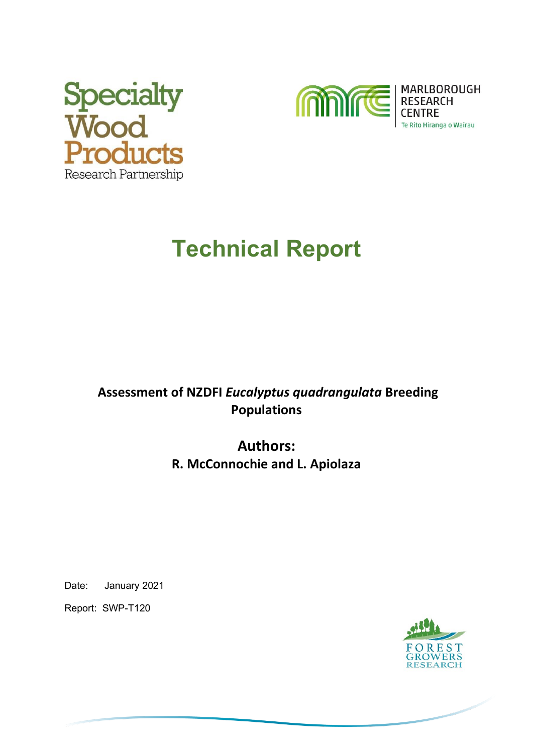



# **Technical Report**

## **Assessment of NZDFI** *Eucalyptus quadrangulata* **Breeding Populations**

# **Authors: R. McConnochie and L. Apiolaza**

Date: January 2021

Report: SWP-T120

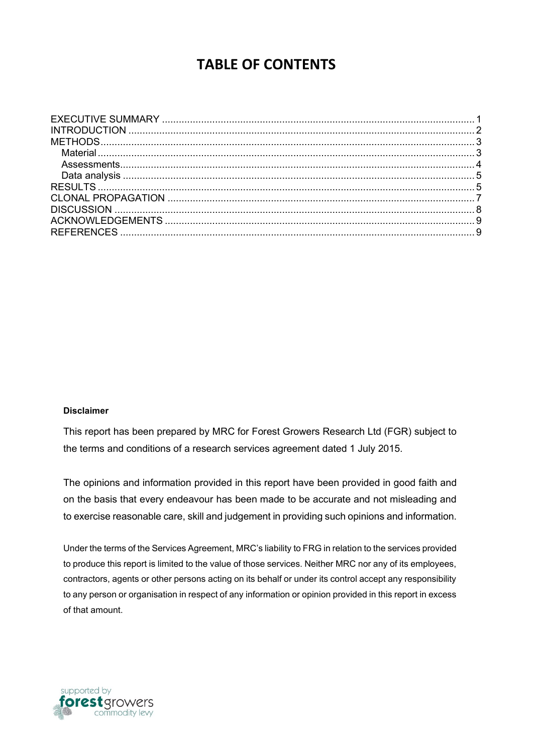# **TABLE OF CONTENTS**

#### **Disclaimer**

This report has been prepared by MRC for Forest Growers Research Ltd (FGR) subject to the terms and conditions of a research services agreement dated 1 July 2015.

The opinions and information provided in this report have been provided in good faith and on the basis that every endeavour has been made to be accurate and not misleading and to exercise reasonable care, skill and judgement in providing such opinions and information.

Under the terms of the Services Agreement, MRC's liability to FRG in relation to the services provided to produce this report is limited to the value of those services. Neither MRC nor any of its employees, contractors, agents or other persons acting on its behalf or under its control accept any responsibility to any person or organisation in respect of any information or opinion provided in this report in excess of that amount.

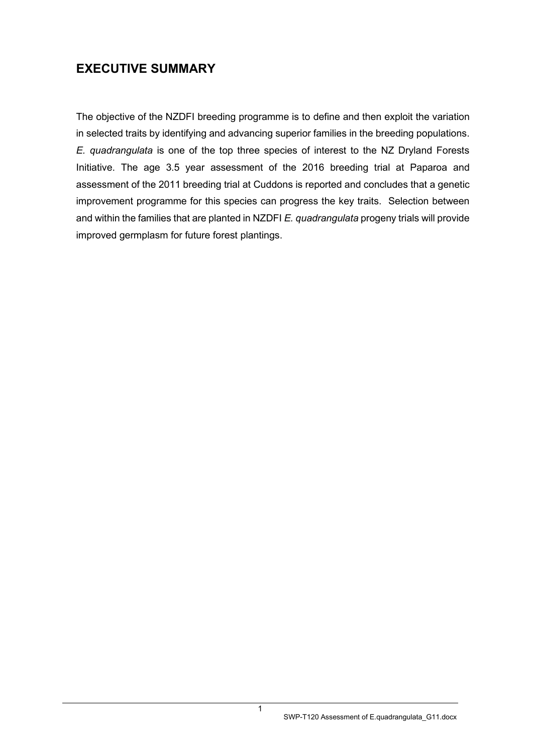## <span id="page-2-0"></span>**EXECUTIVE SUMMARY**

The objective of the NZDFI breeding programme is to define and then exploit the variation in selected traits by identifying and advancing superior families in the breeding populations. *E. quadrangulata* is one of the top three species of interest to the NZ Dryland Forests Initiative. The age 3.5 year assessment of the 2016 breeding trial at Paparoa and assessment of the 2011 breeding trial at Cuddons is reported and concludes that a genetic improvement programme for this species can progress the key traits. Selection between and within the families that are planted in NZDFI *E. quadrangulata* progeny trials will provide improved germplasm for future forest plantings.

1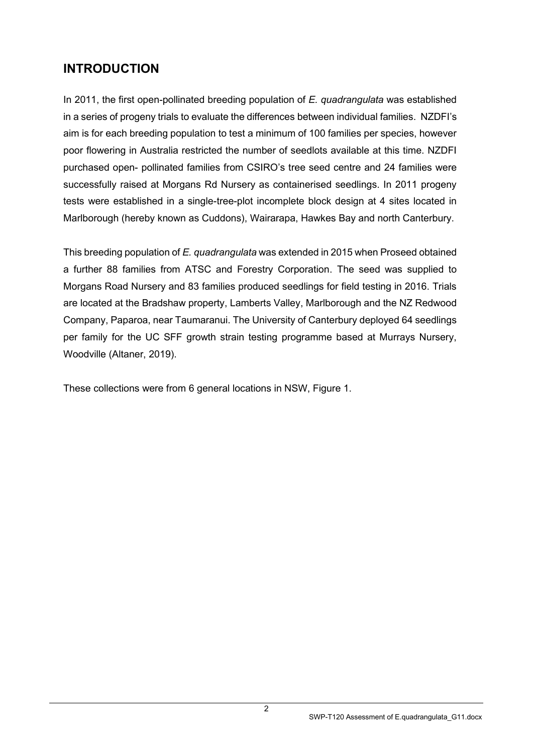# <span id="page-3-0"></span>**INTRODUCTION**

In 2011, the first open-pollinated breeding population of *E. quadrangulata* was established in a series of progeny trials to evaluate the differences between individual families. NZDFI's aim is for each breeding population to test a minimum of 100 families per species, however poor flowering in Australia restricted the number of seedlots available at this time. NZDFI purchased open- pollinated families from CSIRO's tree seed centre and 24 families were successfully raised at Morgans Rd Nursery as containerised seedlings. In 2011 progeny tests were established in a single-tree-plot incomplete block design at 4 sites located in Marlborough (hereby known as Cuddons), Wairarapa, Hawkes Bay and north Canterbury.

This breeding population of *E. quadrangulata* was extended in 2015 when Proseed obtained a further 88 families from ATSC and Forestry Corporation. The seed was supplied to Morgans Road Nursery and 83 families produced seedlings for field testing in 2016. Trials are located at the Bradshaw property, Lamberts Valley, Marlborough and the NZ Redwood Company, Paparoa, near Taumaranui. The University of Canterbury deployed 64 seedlings per family for the UC SFF growth strain testing programme based at Murrays Nursery, Woodville (Altaner, 2019).

These collections were from 6 general locations in NSW, Figure 1.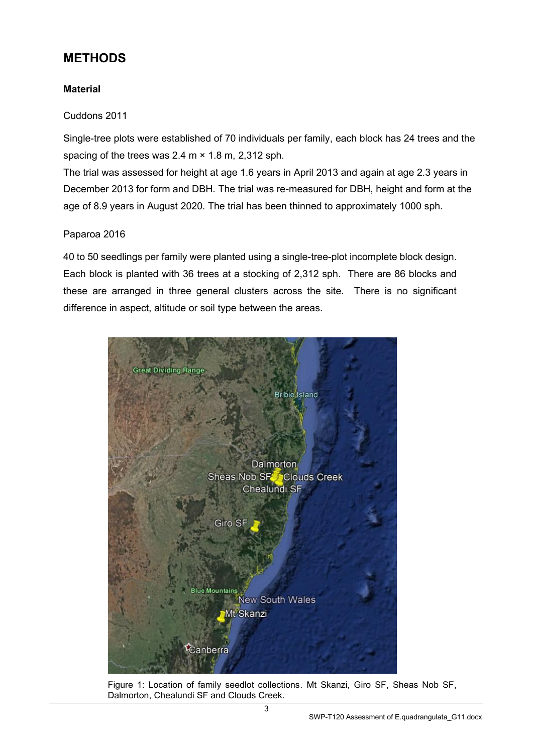### <span id="page-4-0"></span>**METHODS**

#### <span id="page-4-1"></span>**Material**

#### Cuddons 2011

Single-tree plots were established of 70 individuals per family, each block has 24 trees and the spacing of the trees was 2.4 m × 1.8 m, 2,312 sph.

The trial was assessed for height at age 1.6 years in April 2013 and again at age 2.3 years in December 2013 for form and DBH. The trial was re-measured for DBH, height and form at the age of 8.9 years in August 2020. The trial has been thinned to approximately 1000 sph.

#### Paparoa 2016

40 to 50 seedlings per family were planted using a single-tree-plot incomplete block design. Each block is planted with 36 trees at a stocking of 2,312 sph. There are 86 blocks and these are arranged in three general clusters across the site. There is no significant difference in aspect, altitude or soil type between the areas.



Figure 1: Location of family seedlot collections. Mt Skanzi, Giro SF, Sheas Nob SF, Dalmorton, Chealundi SF and Clouds Creek.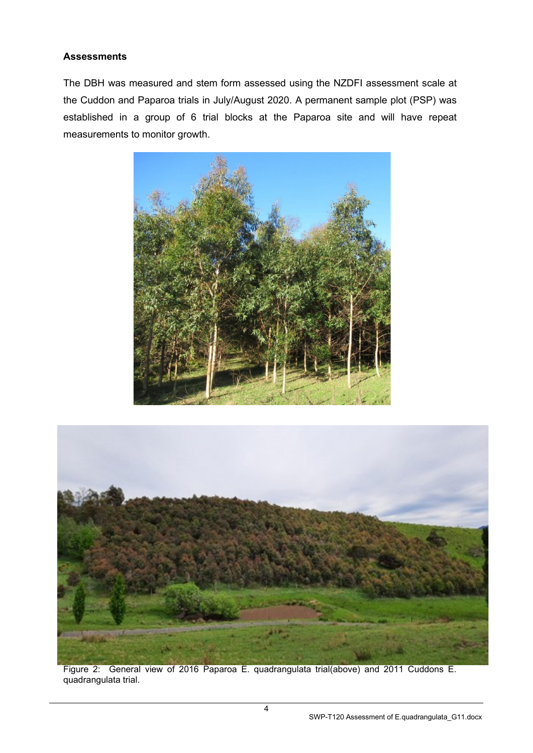#### <span id="page-5-0"></span>**Assessments**

The DBH was measured and stem form assessed using the NZDFI assessment scale at the Cuddon and Paparoa trials in July/August 2020. A permanent sample plot (PSP) was established in a group of 6 trial blocks at the Paparoa site and will have repeat measurements to monitor growth.





Figure 2: General view of 2016 Paparoa E. quadrangulata trial(above) and 2011 Cuddons E. quadrangulata trial.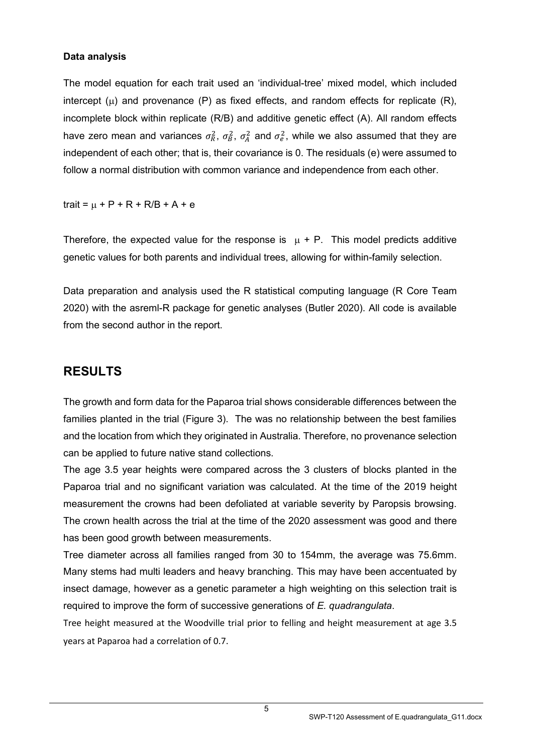#### <span id="page-6-0"></span>**Data analysis**

The model equation for each trait used an 'individual-tree' mixed model, which included intercept  $(\mu)$  and provenance (P) as fixed effects, and random effects for replicate (R), incomplete block within replicate (R/B) and additive genetic effect (A). All random effects have zero mean and variances  $\sigma_R^2$ ,  $\sigma_B^2$ ,  $\sigma_A^2$  and  $\sigma_e^2$ , while we also assumed that they are independent of each other; that is, their covariance is 0. The residuals (e) were assumed to follow a normal distribution with common variance and independence from each other.

trait =  $\mu$  + P + R + R/B + A + e

Therefore, the expected value for the response is  $\mu + P$ . This model predicts additive genetic values for both parents and individual trees, allowing for within-family selection.

Data preparation and analysis used the R statistical computing language (R Core Team 2020) with the asreml-R package for genetic analyses (Butler 2020). All code is available from the second author in the report.

### <span id="page-6-1"></span>**RESULTS**

The growth and form data for the Paparoa trial shows considerable differences between the families planted in the trial (Figure 3). The was no relationship between the best families and the location from which they originated in Australia. Therefore, no provenance selection can be applied to future native stand collections.

The age 3.5 year heights were compared across the 3 clusters of blocks planted in the Paparoa trial and no significant variation was calculated. At the time of the 2019 height measurement the crowns had been defoliated at variable severity by Paropsis browsing. The crown health across the trial at the time of the 2020 assessment was good and there has been good growth between measurements.

Tree diameter across all families ranged from 30 to 154mm, the average was 75.6mm. Many stems had multi leaders and heavy branching. This may have been accentuated by insect damage, however as a genetic parameter a high weighting on this selection trait is required to improve the form of successive generations of *E. quadrangulata*.

Tree height measured at the Woodville trial prior to felling and height measurement at age 3.5 years at Paparoa had a correlation of 0.7.

5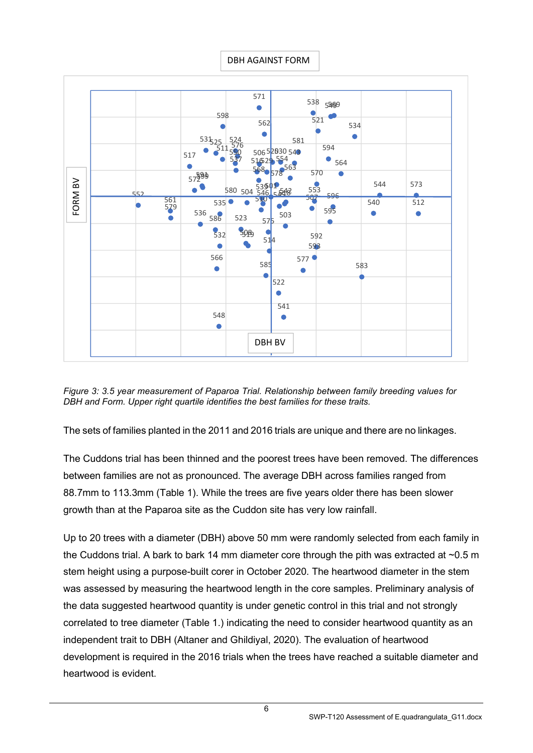

*Figure 3: 3.5 year measurement of Paparoa Trial. Relationship between family breeding values for DBH and Form. Upper right quartile identifies the best families for these traits.*

The sets of families planted in the 2011 and 2016 trials are unique and there are no linkages.

The Cuddons trial has been thinned and the poorest trees have been removed. The differences between families are not as pronounced. The average DBH across families ranged from 88.7mm to 113.3mm (Table 1). While the trees are five years older there has been slower growth than at the Paparoa site as the Cuddon site has very low rainfall.

Up to 20 trees with a diameter (DBH) above 50 mm were randomly selected from each family in the Cuddons trial. A bark to bark 14 mm diameter core through the pith was extracted at ~0.5 m stem height using a purpose-built corer in October 2020. The heartwood diameter in the stem was assessed by measuring the heartwood length in the core samples. Preliminary analysis of the data suggested heartwood quantity is under genetic control in this trial and not strongly correlated to tree diameter (Table 1.) indicating the need to consider heartwood quantity as an independent trait to DBH (Altaner and Ghildiyal, 2020). The evaluation of heartwood development is required in the 2016 trials when the trees have reached a suitable diameter and heartwood is evident.

SWP-T120 Assessment of E.quadrangulata\_G11.docx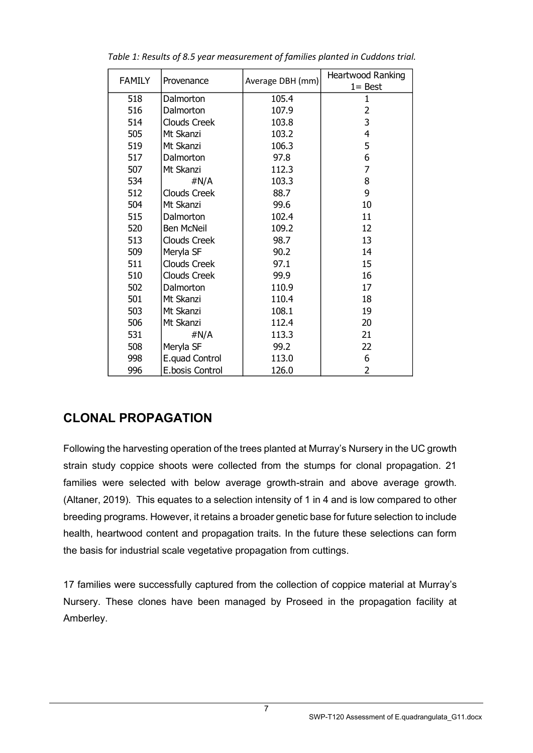| <b>FAMILY</b> | Provenance          | Average DBH (mm) | Heartwood Ranking |  |  |
|---------------|---------------------|------------------|-------------------|--|--|
|               |                     |                  | $1 = Best$        |  |  |
| 518           | Dalmorton           | 105.4            | 1                 |  |  |
| 516           | Dalmorton           | 107.9            | 2                 |  |  |
| 514           | <b>Clouds Creek</b> | 103.8            | 3                 |  |  |
| 505           | Mt Skanzi           | 103.2            | 4                 |  |  |
| 519           | Mt Skanzi           | 106.3            | 5                 |  |  |
| 517           | Dalmorton           | 97.8             | 6                 |  |  |
| 507           | Mt Skanzi           | 112.3            | 7                 |  |  |
| 534           | #N/A                | 103.3            | 8                 |  |  |
| 512           | Clouds Creek        | 88.7             | 9                 |  |  |
| 504           | Mt Skanzi           | 99.6             | 10                |  |  |
| 515           | Dalmorton           | 102.4            | 11                |  |  |
| 520           | <b>Ben McNeil</b>   | 109.2            | 12                |  |  |
| 513           | <b>Clouds Creek</b> | 98.7             | 13                |  |  |
| 509           | Meryla SF           | 90.2             | 14                |  |  |
| 511           | Clouds Creek        | 97.1             | 15                |  |  |
| 510           | Clouds Creek        | 99.9             | 16                |  |  |
| 502           | Dalmorton           | 110.9            | 17                |  |  |
| 501           | Mt Skanzi           | 110.4            | 18                |  |  |
| 503           | Mt Skanzi           | 108.1            | 19                |  |  |
| 506           | Mt Skanzi           | 112.4            | 20                |  |  |
| 531           | # $N/A$             | 113.3            | 21                |  |  |
| 508           | Meryla SF           | 99.2             | 22                |  |  |
| 998           | E.quad Control      | 113.0            | 6                 |  |  |
| 996           | E.bosis Control     | 126.0            | 2                 |  |  |

*Table 1: Results of 8.5 year measurement of families planted in Cuddons trial.*

### <span id="page-8-0"></span>**CLONAL PROPAGATION**

Following the harvesting operation of the trees planted at Murray's Nursery in the UC growth strain study coppice shoots were collected from the stumps for clonal propagation. 21 families were selected with below average growth-strain and above average growth. (Altaner, 2019). This equates to a selection intensity of 1 in 4 and is low compared to other breeding programs. However, it retains a broader genetic base for future selection to include health, heartwood content and propagation traits. In the future these selections can form the basis for industrial scale vegetative propagation from cuttings.

17 families were successfully captured from the collection of coppice material at Murray's Nursery. These clones have been managed by Proseed in the propagation facility at Amberley.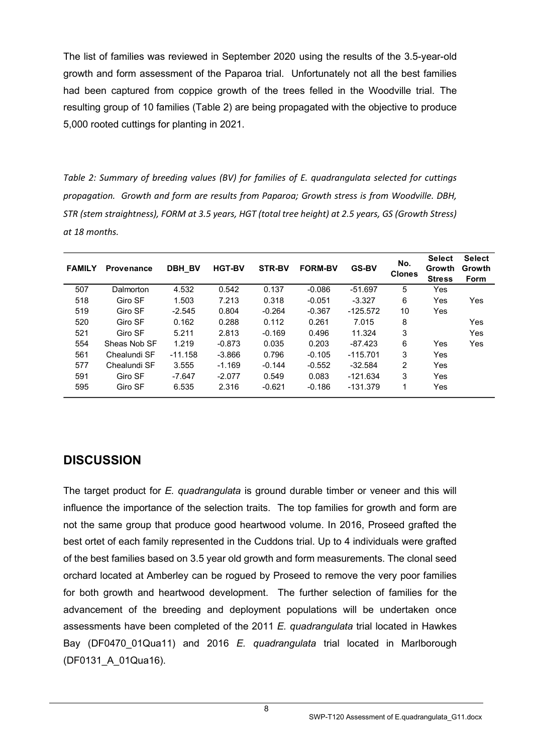The list of families was reviewed in September 2020 using the results of the 3.5-year-old growth and form assessment of the Paparoa trial. Unfortunately not all the best families had been captured from coppice growth of the trees felled in the Woodville trial. The resulting group of 10 families (Table 2) are being propagated with the objective to produce 5,000 rooted cuttings for planting in 2021.

*Table 2: Summary of breeding values (BV) for families of E. quadrangulata selected for cuttings propagation. Growth and form are results from Paparoa; Growth stress is from Woodville. DBH, STR (stem straightness), FORM at 3.5 years, HGT (total tree height) at 2.5 years, GS (Growth Stress) at 18 months.*

| <b>FAMILY</b> | <b>Provenance</b> | <b>DBH BV</b> | <b>HGT-BV</b> | <b>STR-BV</b> | <b>FORM-BV</b> | <b>GS-BV</b> | No.<br><b>Clones</b> | <b>Select</b><br>Growth<br><b>Stress</b> | <b>Select</b><br>Growth<br><b>Form</b> |
|---------------|-------------------|---------------|---------------|---------------|----------------|--------------|----------------------|------------------------------------------|----------------------------------------|
| 507           | Dalmorton         | 4.532         | 0.542         | 0.137         | $-0.086$       | $-51.697$    | 5                    | Yes                                      |                                        |
| 518           | Giro SF           | 1.503         | 7.213         | 0.318         | $-0.051$       | $-3.327$     | 6                    | Yes                                      | Yes                                    |
| 519           | Giro SF           | $-2.545$      | 0.804         | $-0.264$      | $-0.367$       | $-125.572$   | 10                   | Yes                                      |                                        |
| 520           | Giro SF           | 0.162         | 0.288         | 0.112         | 0.261          | 7.015        | 8                    |                                          | Yes                                    |
| 521           | Giro SF           | 5.211         | 2.813         | $-0.169$      | 0.496          | 11.324       | 3                    |                                          | Yes                                    |
| 554           | Sheas Nob SF      | 1.219         | $-0.873$      | 0.035         | 0.203          | $-87.423$    | 6                    | Yes                                      | Yes                                    |
| 561           | Chealundi SF      | $-11.158$     | $-3.866$      | 0.796         | $-0.105$       | $-115.701$   | 3                    | Yes                                      |                                        |
| 577           | Chealundi SF      | 3.555         | $-1.169$      | $-0.144$      | $-0.552$       | $-32.584$    | 2                    | Yes                                      |                                        |
| 591           | Giro SF           | $-7.647$      | $-2.077$      | 0.549         | 0.083          | $-121.634$   | 3                    | Yes                                      |                                        |
| 595           | Giro SF           | 6.535         | 2.316         | $-0.621$      | $-0.186$       | $-131.379$   | 1                    | Yes                                      |                                        |

### <span id="page-9-0"></span>**DISCUSSION**

The target product for *E. quadrangulata* is ground durable timber or veneer and this will influence the importance of the selection traits. The top families for growth and form are not the same group that produce good heartwood volume. In 2016, Proseed grafted the best ortet of each family represented in the Cuddons trial. Up to 4 individuals were grafted of the best families based on 3.5 year old growth and form measurements. The clonal seed orchard located at Amberley can be rogued by Proseed to remove the very poor families for both growth and heartwood development. The further selection of families for the advancement of the breeding and deployment populations will be undertaken once assessments have been completed of the 2011 *E. quadrangulata* trial located in Hawkes Bay (DF0470\_01Qua11) and 2016 *E. quadrangulata* trial located in Marlborough (DF0131\_A\_01Qua16).

8